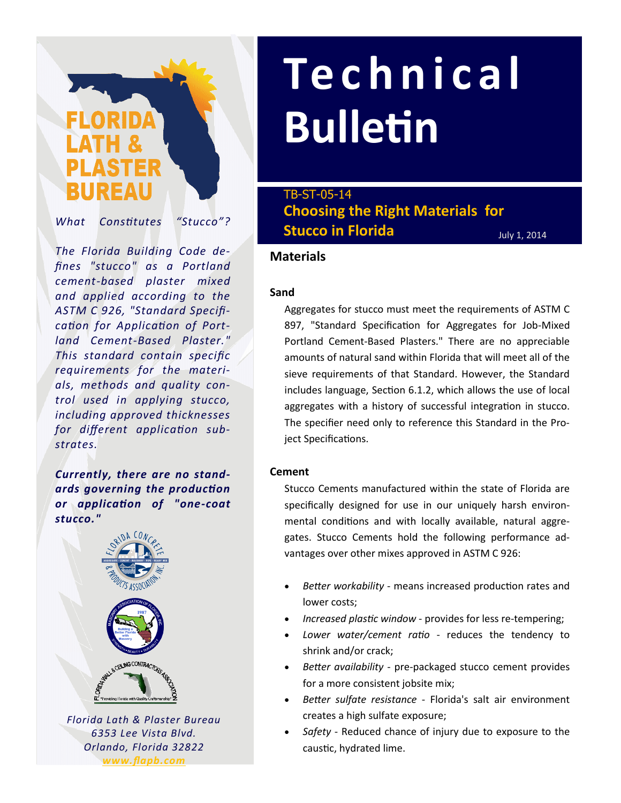# BUREAU

*What Constitutes "Stucco"?*

*The Florida Building Code defines "stucco" as a Portland cement-based plaster mixed and applied according to the ASTM C 926, "Standard Specification for Application of Portland Cement-Based Plaster." This standard contain specific requirements for the materials, methods and quality control used in applying stucco, including approved thicknesses for different application substrates.* 

*Currently, there are no standards governing the production or application of "one-coat stucco."*



*Florida Lath & Plaster Bureau 6353 Lee Vista Blvd. Orlando, Florida 32822 www.flapb.com*

## **Te c h n i c a l Bulletin**

**Choosing the Right Materials for Stucco in Florida** TB-ST-05-14

July 1, 2014

### **Materials**

#### **Sand**

Aggregates for stucco must meet the requirements of ASTM C 897, "Standard Specification for Aggregates for Job-Mixed Portland Cement-Based Plasters." There are no appreciable amounts of natural sand within Florida that will meet all of the sieve requirements of that Standard. However, the Standard includes language, Section 6.1.2, which allows the use of local aggregates with a history of successful integration in stucco. The specifier need only to reference this Standard in the Project Specifications.

#### **Cement**

Stucco Cements manufactured within the state of Florida are specifically designed for use in our uniquely harsh environmental conditions and with locally available, natural aggregates. Stucco Cements hold the following performance advantages over other mixes approved in ASTM C 926:

- *Better workability*  means increased production rates and lower costs;
- *Increased plastic window*  provides for less re-tempering;
- *Lower water/cement ratio* reduces the tendency to shrink and/or crack;
- *Better availability*  pre-packaged stucco cement provides for a more consistent jobsite mix;
- *Better sulfate resistance* Florida's salt air environment creates a high sulfate exposure;
- *Safety*  Reduced chance of injury due to exposure to the caustic, hydrated lime.